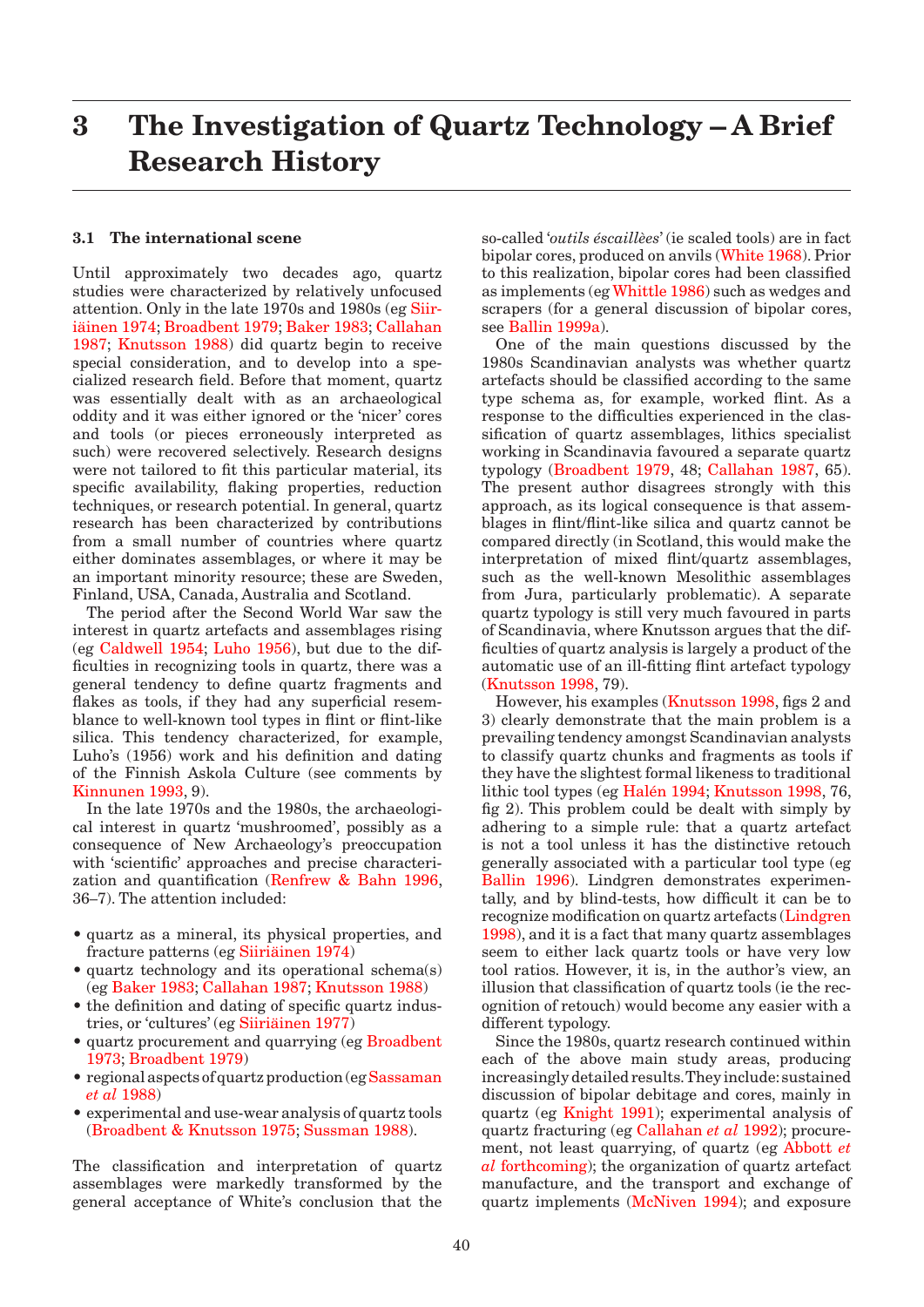## <span id="page-0-0"></span>**3 The Investigation of Quartz Technology – A Brief Research History**

## **3.1 The international scene**

Until approximately two decades ago, quartz studies were characterized by relatively unfocused attention. Only in the late 1970s and 1980s ([eg Siir](#page-7-0)[iäinen 1974;](#page-7-0) [Broadbent 1979;](#page-2-0) Baker 1983; [Callahan](#page-2-0)  [1987;](#page-2-0) [Knutsson 1988\)](#page-4-0) did quartz begin to receive special consideration, and to develop into a specialized research field. Before that moment, quartz was essentially dealt with as an archaeological oddity and it was either ignored or the 'nicer' cores and tools (or pieces erroneously interpreted as such) were recovered selectively. Research designs were not tailored to fit this particular material, its specific availability, flaking properties, reduction techniques, or research potential. In general, quartz research has been characterized by contributions from a small number of countries where quartz either dominates assemblages, or where it may be an important minority resource; these are Sweden, Finland, USA, Canada, Australia and Scotland.

The period after the Second World War saw the interest in quartz artefacts and assemblages rising (e[g Caldwell 1954;](#page-2-0) [Luho 1956\), b](#page-5-0)ut due to the difficulties in recognizing tools in quartz, there was a general tendency to define quartz fragments and flakes as tools, if they had any superficial resemblance to well-known tool types in flint or flint-like silica. This tendency characterized, for example, Luho's (1956) work and his definition and dating of the Finnish Askola Culture (see comments by [Kinnunen 1993, 9\).](#page-4-0)

In the late 1970s and the 1980s, the archaeological interest in quartz 'mushroomed', possibly as a consequence of New Archaeology's preoccupation with 'scientific' approaches and precise characterization and quantification [\(Renfrew & Bahn 1996,](#page-6-0)  36–7). The attention included:

- quartz as a mineral, its physical properties, and fracture patterns ([eg Siiriäinen 1974\)](#page-6-0)
- quartz technology and its operational schema(s) (eg Baker 1983; [Callahan 1987;](#page-2-0) [Knutsson 1988\)](#page-4-0)
- the definition and dating of specific quartz industries, or 'cultures' (e[g Siiriäinen 1977\)](#page-7-0)
- quartz procurement and quarrying (eg Broadbent [1973; Broadbent 1979\)](#page-2-0)
- regional aspects of quartz production (eg Sassaman *et al* [1988\)](#page-6-0)
- experimental and use-wear analysis of quartz tools [\(Broadbent & Knutsson 1975;](#page-2-0) [Sussman 1988\).](#page-7-0)

The classification and interpretation of quartz assemblages were markedly transformed by the general acceptance of White's conclusion that the so-called '*outils éscaillèes*' (ie scaled tools) are in fact bipolar cores, produced on anvil[s \(White 1968\).](#page-7-0) Prior to this realization, bipolar cores had been classified as implements (eg [Whittle 1986\) s](#page-7-0)uch as wedges and scrapers (for a general discussion of bipolar cores, see Ballin 1999a).

One of the main questions discussed by the 1980s Scandinavian analysts was whether quartz artefacts should be classified according to the same type schema as, for example, worked flint. As a response to the difficulties experienced in the classification of quartz assemblages, lithics specialist working in Scandinavia favoured a separate quartz typolog[y \(Broadbent 1979, 48; Callahan 1987, 6](#page-2-0)5). The present author disagrees strongly with this approach, as its logical consequence is that assemblages in flint/flint-like silica and quartz cannot be compared directly (in Scotland, this would make the interpretation of mixed flint/quartz assemblages, such as the well-known Mesolithic assemblages from Jura, particularly problematic). A separate quartz typology is still very much favoured in parts of Scandinavia, where Knutsson argues that the difficulties of quartz analysis is largely a product of the automatic use of an ill-fitting flint artefact typology [\(Knutsson 1998,](#page-4-0) 79).

However, his exampl[es \(Knutsson 1998,](#page-4-0) figs 2 and 3) clearly demonstrate that the main problem is a prevailing tendency amongst Scandinavian analysts to classify quartz chunks and fragments as tools if they have the slightest formal likeness to traditional lithic tool types (e[g Halén 1994; Knutsson 1998, 7](#page-4-0)6, fig 2). This problem could be dealt with simply by adhering to a simple rule: that a quartz artefact is not a tool unless it has the distinctive retouch generally associated with a particular tool type (eg Ballin 1996). Lindgren demonstrates experimentally, and by blind-tests, how difficult it can be to recognize modification on quartz artefa[cts \(Lindgren](#page-5-0)  [1998\), a](#page-5-0)nd it is a fact that many quartz assemblages seem to either lack quartz tools or have very low tool ratios. However, it is, in the author's view, an illusion that classification of quartz tools (ie the recognition of retouch) would become any easier with a different typology.

Since the 1980s, quartz research continued within each of the above main study areas, producing increasingly detailed results. They include: sustained discussion of bipolar debitage and cores, mainly in quartz (eg [Knight 1991\);](#page-5-0) experimental analysis of quartz fracturing (eg [Callahan](#page-2-0) *et al* 1992); procurement, not least quarrying, of quartz (eg Abbott *et al* forthcoming); the organization of quartz artefact manufacture, and the transport and exchange of quartz implemen[ts \(McNiven 1994\);](#page-5-0) and exposure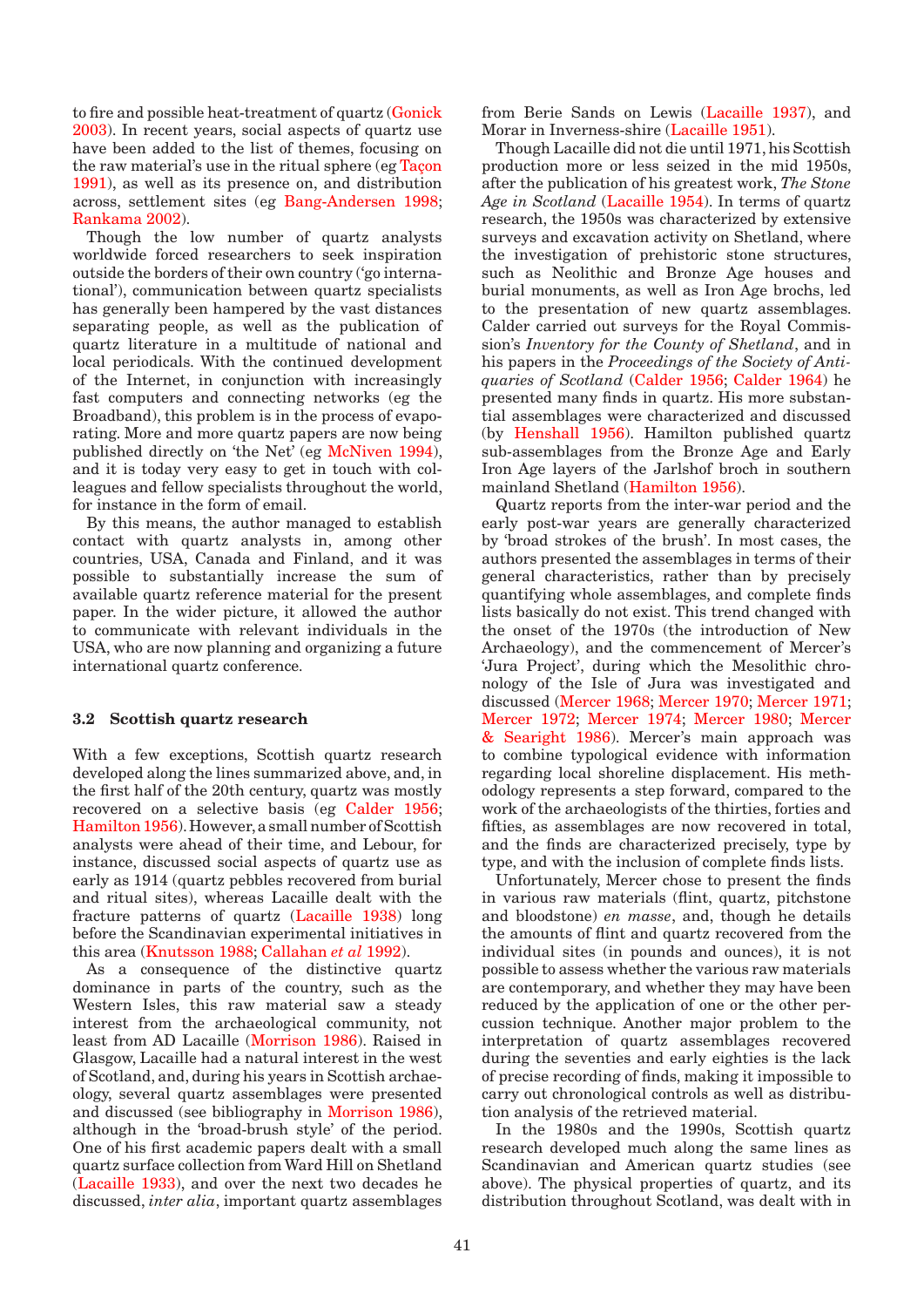<span id="page-1-0"></span>to fire and possible heat-treatment of quart[z \(Gonick](#page-3-0)  [2003\).](#page-3-0) In recent years, social aspects of quartz use have been added to the list of themes, focusing on the raw material's use in the ritual sphere ([eg Taçon](#page-7-0)  [1991\),](#page-7-0) as well as its presence on, and distribution across, settlement sites (eg Bang-Andersen 1998; [Rankama 2002\).](#page-6-0)

Though the low number of quartz analysts worldwide forced researchers to seek inspiration outside the borders of their own country ('go international'), communication between quartz specialists has generally been hampered by the vast distances separating people, as well as the publication of quartz literature in a multitude of national and local periodicals. With the continued development of the Internet, in conjunction with increasingly fast computers and connecting networks (eg the Broadband), this problem is in the process of evaporating. More and more quartz papers are now being published directly on 'the Net' ([eg McNiven 1994\),](#page-5-0)  and it is today very easy to get in touch with colleagues and fellow specialists throughout the world, for instance in the form of email.

By this means, the author managed to establish contact with quartz analysts in, among other countries, USA, Canada and Finland, and it was possible to substantially increase the sum of available quartz reference material for the present paper. In the wider picture, it allowed the author to communicate with relevant individuals in the USA, who are now planning and organizing a future international quartz conference.

## **3.2 Scottish quartz research**

With a few exceptions, Scottish quartz research developed along the lines summarized above, and, in the first half of the 20th century, quartz was mostly recovered on a selective basis (eg [Calder 1956;](#page-2-0) [Hamilton 1956\).](#page-4-0) However, a small number of Scottish analysts were ahead of their time, and Lebour, for instance, discussed social aspects of quartz use as early as 1914 (quartz pebbles recovered from burial and ritual sites), whereas Lacaille dealt with the fracture patterns of quart[z \(Lacaille 1938\)](#page-4-0) long before the Scandinavian experimental initiatives in this are[a \(Knutsson 1988;](#page-4-0) [Callahan](#page-2-0) *et al* 1992).

As a consequence of the distinctive quartz dominance in parts of the country, such as the Western Isles, this raw material saw a steady interest from the archaeological community, not least from AD Lacaill[e \(Morrison 1986\).](#page-5-0) Raised in Glasgow, Lacaille had a natural interest in the west of Scotland, and, during his years in Scottish archaeology, several quartz assemblages were presented and discussed (see bibliography in [Morrison 1986\),](#page-5-0) although in the 'broad-brush style' of the period. One of his first academic papers dealt with a small quartz surface collection from Ward Hill on Shetland [\(Lacaille 1933\), an](#page-4-0)d over the next two decades he discussed, *inter alia*, important quartz assemblages from Berie Sands on [Lewis \(Lacaille 1937\),](#page-4-0) and Morar in Inverness-shire (Lacaille 1951).

Though Lacaille did not die until 1971, his Scottish production more or less seized in the mid 1950s, after the publication of his greatest work, *The Stone Age in Scotland* [\(Lacaille 1954\). I](#page-4-0)n terms of quartz research, the 1950s was characterized by extensive surveys and excavation activity on Shetland, where the investigation of prehistoric stone structures, such as Neolithic and Bronze Age houses and burial monuments, as well as Iron Age brochs, led to the presentation of new quartz assemblages. Calder carried out surveys for the Royal Commission's *Inventory for the County of Shetland*, and in his papers in the *Proceedings of the Society of Antiquaries of Scotland* [\(Calder 1956; Calder 1964\) he](#page-2-0) presented many finds in quartz. His more substantial assemblages were characterized and discussed (by [Henshall 1956\).](#page-4-0) Hamilton published quartz sub-assemblages from the Bronze Age and Early Iron Age layers of the Jarlshof broch in southern mainland Shetland [\(Hamilton 1956\).](#page-4-0) 

Quartz reports from the inter-war period and the early post-war years are generally characterized by 'broad strokes of the brush'. In most cases, the authors presented the assemblages in terms of their general characteristics, rather than by precisely quantifying whole assemblages, and complete finds lists basically do not exist. This trend changed with the onset of the 1970s (the introduction of New Archaeology), and the commencement of Mercer's 'Jura Project', during which the Mesolithic chronology of the Isle of Jura was investigated and discussed (Mercer 1968; Mercer 1970; Mercer 1971; [Mercer 1972; Mercer 1974; Mercer 1980; Mercer](#page-5-0)  & Searight 1986). Mercer's main approach was to combine typological evidence with information regarding local shoreline displacement. His methodology represents a step forward, compared to the work of the archaeologists of the thirties, forties and fifties, as assemblages are now recovered in total, and the finds are characterized precisely, type by type, and with the inclusion of complete finds lists.

Unfortunately, Mercer chose to present the finds in various raw materials (flint, quartz, pitchstone and bloodstone) *en masse*, and, though he details the amounts of flint and quartz recovered from the individual sites (in pounds and ounces), it is not possible to assess whether the various raw materials are contemporary, and whether they may have been reduced by the application of one or the other percussion technique. Another major problem to the interpretation of quartz assemblages recovered during the seventies and early eighties is the lack of precise recording of finds, making it impossible to carry out chronological controls as well as distribution analysis of the retrieved material.

In the 1980s and the 1990s, Scottish quartz research developed much along the same lines as Scandinavian and American quartz studies (see above). The physical properties of quartz, and its distribution throughout Scotland, was dealt with in